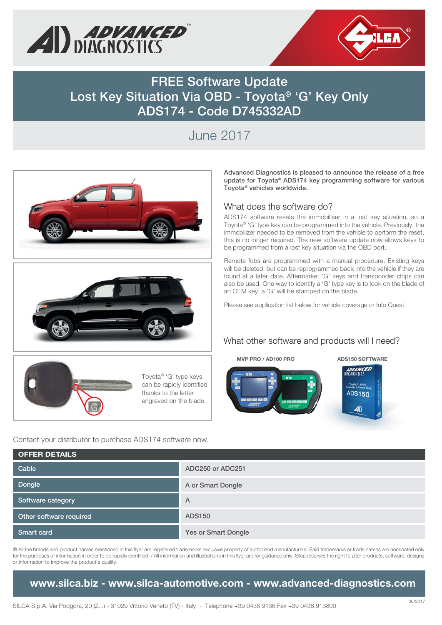



**FREE Software Update Lost Key Situation Via OBD - Toyota® 'G' Key Only ADS174 - Code D745332AD**

# June 2017







Toyota® 'G' type keys can be rapidly identified thanks to the letter engraved on the blade.

Contact your distributor to purchase ADS174 software now.

**Advanced Diagnostics is pleased to announce the release of a free update for Toyota® ADS174 key programming software for various Toyota® vehicles worldwide.**

### What does the software do?

ADS174 software resets the immobiliser in a lost key situation, so a Toyota® 'G' type key can be programmed into the vehicle. Previously, the immobilizer needed to be removed from the vehicle to perform the reset, this is no longer required. The new software update now allows keys to be programmed from a lost key situation via the OBD port.

Remote fobs are programmed with a manual procedure. Existing keys will be deleted, but can be reprogrammed back into the vehicle if they are found at a later date. Aftermarket 'G' keys and transponder chips can also be used. One way to identify a 'G' type key is to look on the blade of an OEM key, a 'G' will be stamped on the blade.

Please see application list below for vehicle coverage or Info Quest.

## What other software and products will I need?

# **MVP PRO / AD100 PRO ADS150 SOFTWARE**

ADVANCE



| <b>OFFER DETAILS</b>    |                            |
|-------------------------|----------------------------|
| Cable                   | ADC250 or ADC251           |
| Dongle                  | A or Smart Dongle          |
| Software category       | A                          |
| Other software required | <b>ADS150</b>              |
| Smart card              | <b>Yes or Smart Dongle</b> |

® All the brands and product names mentioned in this flyer are registered trademarks exclusive property of authorized manufacturers. Said trademarks or trade names are nominated only for the purposes of information in order to be rapidly identified. / All information and illustrations in this flyer are for guidance only. Silca reserves the right to alter products, software, designs or information to improve the product's quality.

**www.silca.biz - www.silca-automotive.com - www.advanced-diagnostics.com**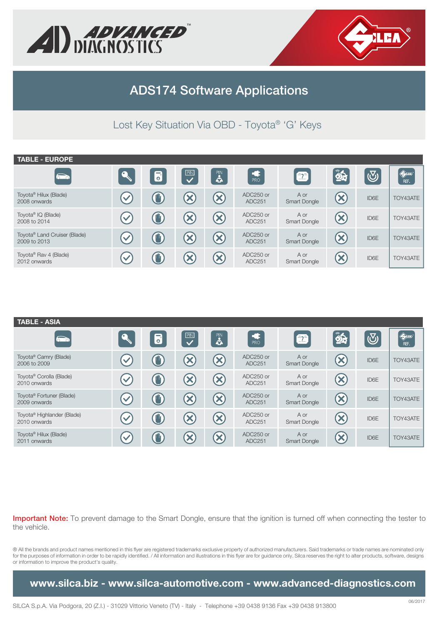



# **ADS174 Software Applications**

Lost Key Situation Via OBD - Toyota® 'G' Keys

| <b>TABLE - EUROPE</b>                                    |                      |                                 |                         |            |                     |                      |                          |                         |                        |
|----------------------------------------------------------|----------------------|---------------------------------|-------------------------|------------|---------------------|----------------------|--------------------------|-------------------------|------------------------|
| $\bullet$                                                |                      | $\overline{\bullet}$            | $\overline{\mathbf{C}}$ | PIN<br>Col | PRO                 | $\bullet$            | 85                       | $\overline{\mathbb{C}}$ | $\bigoplus$ in<br>REF. |
| Toyota <sup>®</sup> Hilux (Blade)<br>2008 onwards        | $\blacktriangledown$ | 仙,                              |                         |            | ADC250 or<br>ADC251 | A or<br>Smart Dongle | $\boldsymbol{\varkappa}$ | ID6E                    | TOY43ATE               |
| Toyota <sup>®</sup> IQ (Blade)<br>2008 to 2014           | $\checkmark$         | $\mathbf{C}$                    | $\boldsymbol{\times}$   |            | ADC250 or<br>ADC251 | A or<br>Smart Dongle | $\boldsymbol{\varkappa}$ | ID6E                    | TOY43ATE               |
| Toyota <sup>®</sup> Land Cruiser (Blade)<br>2009 to 2013 | $\blacktriangledown$ | $\textcolor{red}{\blacksquare}$ |                         |            | ADC250 or<br>ADC251 | A or<br>Smart Dongle | $\boldsymbol{\varkappa}$ | ID6E                    | TOY43ATE               |
| Toyota <sup>®</sup> Rav 4 (Blade)<br>2012 onwards        | $\checkmark$         | $\mathbf{w}$                    |                         |            | ADC250 or<br>ADC251 | A or<br>Smart Dongle | $\mathbf x$              | ID6E                    | TOY43ATE               |

| <b>TABLE - ASIA</b>                                    |                      |                      |                                                                        |                            |                                   |                             |                            |            |                          |
|--------------------------------------------------------|----------------------|----------------------|------------------------------------------------------------------------|----------------------------|-----------------------------------|-----------------------------|----------------------------|------------|--------------------------|
| $\sum$                                                 |                      | $\overline{\bullet}$ | $\left\lceil \frac{\mathbb{P} \mathbb{N}}{\blacklozenge} \right\rceil$ | <b>PIN</b><br>å            | PRO                               | $\mathbf{r}$                | 85                         | $\bigcirc$ | $\bigotimes$ iea<br>REF. |
| Toyota <sup>®</sup> Camry (Blade)<br>2006 to 2009      | $\blacktriangledown$ | $\bigcirc$           | ×                                                                      | $\mathbf{x}$               | $ADC250$ or<br>ADC251             | A or<br><b>Smart Dongle</b> | $\boldsymbol{\mathcal{Z}}$ | ID6E       | TOY43ATE                 |
| Toyota <sup>®</sup> Corolla (Blade)<br>2010 onwards    | $\blacktriangledown$ | $\mathbf{w}$         | $\boldsymbol{\times}$                                                  | $\mathbf{x}$               | $ADC250$ or<br>ADC <sub>251</sub> | A or<br>Smart Dongle        | $\left( \infty \right)$    | ID6E       | TOY43ATE                 |
| Toyota <sup>®</sup> Fortuner (Blade)<br>2009 onwards   | $\checkmark$         | $\bigcirc$           | ×                                                                      | $\left( \mathsf{x}\right)$ | $ADC250$ or<br>ADC251             | A or<br><b>Smart Dongle</b> | $\left( \infty \right)$    | ID6E       | TOY43ATE                 |
| Toyota <sup>®</sup> Highlander (Blade)<br>2010 onwards | $\blacktriangledown$ | $\bigcirc$           | X                                                                      | $\mathbf{x}$               | ADC250 or<br>ADC <sub>251</sub>   | A or<br>Smart Dongle        | $\left( \infty \right)$    | ID6E       | TOY43ATE                 |
| Toyota <sup>®</sup> Hilux (Blade)<br>2011 onwards      | $\checkmark$         | $\mathbb{I}$         | X                                                                      |                            | ADC250 or<br>ADC251               | A or<br><b>Smart Dongle</b> | X                          | ID6E       | TOY43ATE                 |

**Important Note:** To prevent damage to the Smart Dongle, ensure that the ignition is turned off when connecting the tester to the vehicle.

® All the brands and product names mentioned in this flyer are registered trademarks exclusive property of authorized manufacturers. Said trademarks or trade names are nominated only for the purposes of information in order to be rapidly identified. / All information and illustrations in this flyer are for guidance only. Silca reserves the right to alter products, software, designs or information to improve the product's quality.

**www.silca.biz - www.silca-automotive.com - www.advanced-diagnostics.com**